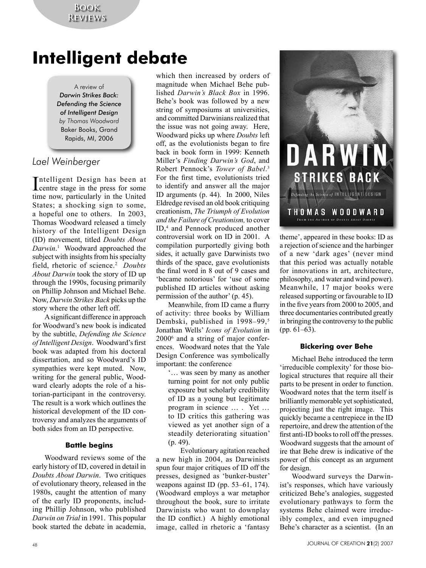# **Intelligent debate**

A review of *Darwin Strikes Back: Defending the Science of Intelligent Design by Thomas Woodward* Baker Books, Grand Rapids, MI, 2006

# *Lael Weinberger*

Intelligent Design has been at<br>centre stage in the press for some ntelligent Design has been at time now, particularly in the United States; a shocking sign to some, a hopeful one to others. In 2003, Thomas Woodward released a timely history of the Intelligent Design (ID) movement, titled *Doubts About Darwin*. 1 Woodward approached the subject with insights from his specialty field, rhetoric of science.2 *Doubts About Darwin* took the story of ID up through the 1990s, focusing primarily on Phillip Johnson and Michael Behe. Now, *Darwin Strikes Back* picks up the story where the other left off.

A significant difference in approach for Woodward's new book is indicated by the subtitle, *Defending the Science of Intelligent Design*. Woodward's first book was adapted from his doctoral dissertation, and so Woodward's ID sympathies were kept muted. Now, writing for the general public, Woodward clearly adopts the role of a historian-participant in the controversy. The result is a work which outlines the historical development of the ID controversy and analyzes the arguments of both sides from an ID perspective.

# **Battle begins**

Woodward reviews some of the early history of ID, covered in detail in *Doubts About Darwin*. Two critiques of evolutionary theory, released in the 1980s, caught the attention of many of the early ID proponents, including Phillip Johnson, who published *Darwin on Trial* in 1991. This popular book started the debate in academia,

which then increased by orders of magnitude when Michael Behe published *Darwin's Black Box* in 1996. Behe's book was followed by a new string of symposiums at universities, and committed Darwinians realized that the issue was not going away. Here, Woodward picks up where *Doubts* left off, as the evolutionists began to fire back in book form in 1999: Kenneth Miller's *Finding Darwin's God*, and Robert Pennock's *Tower of Babel*. 3 For the first time, evolutionists tried to identify and answer all the major ID arguments (p. 44). In 2000, Niles Eldredge revised an old book critiquing creationism, *The Triumph of Evolution and the Failure of Creationism,* to cover ID,<sup>4</sup> and Pennock produced another controversial work on ID in 2001. A compilation purportedly giving both sides, it actually gave Darwinists two thirds of the space, gave evolutionists the final word in 8 out of 9 cases and 'became notorious' for 'use of some published ID articles without asking permission of the author' (p. 45).

Meanwhile, from ID came a flurry of activity: three books by William Dembski, published in 1998–99,<sup>5</sup> Jonathan Wells' *Icons of Evolution* in 20006 and a string of major conferences. Woodward notes that the Yale Design Conference was symbolically important: the conference

'… was seen by many as another turning point for not only public exposure but scholarly credibility of ID as a young but legitimate program in science … . Yet … to ID critics this gathering was viewed as yet another sign of a steadily deteriorating situation' (p. 49).

Evolutionary agitation reached a new high in 2004, as Darwinists spun four major critiques of ID off the presses, designed as 'bunker-buster' weapons against ID (pp. 53–61, 174). (Woodward employs a war metaphor throughout the book, sure to irritate Darwinists who want to downplay the ID conflict.) A highly emotional image, called in rhetoric a 'fantasy



theme', appeared in these books: ID as a rejection of science and the harbinger of a new 'dark ages' (never mind that this period was actually notable for innovations in art, architecture, philosophy, and water and wind power). Meanwhile, 17 major books were released supporting or favourable to ID in the five years from 2000 to 2005, and three documentaries contributed greatly in bringing the controversy to the public (pp. 61–63).

#### **Bickering over Behe**

Michael Behe introduced the term 'irreducible complexity' for those biological structures that require all their parts to be present in order to function. Woodward notes that the term itself is brilliantly memorable yet sophisticated, projecting just the right image. This quickly became a centrepiece in the ID repertoire, and drew the attention of the first anti-ID books to roll off the presses. Woodward suggests that the amount of ire that Behe drew is indicative of the power of this concept as an argument for design.

Woodward surveys the Darwinist's responses, which have variously criticized Behe's analogies, suggested evolutionary pathways to form the systems Behe claimed were irreducibly complex, and even impugned Behe's character as a scientist. (In an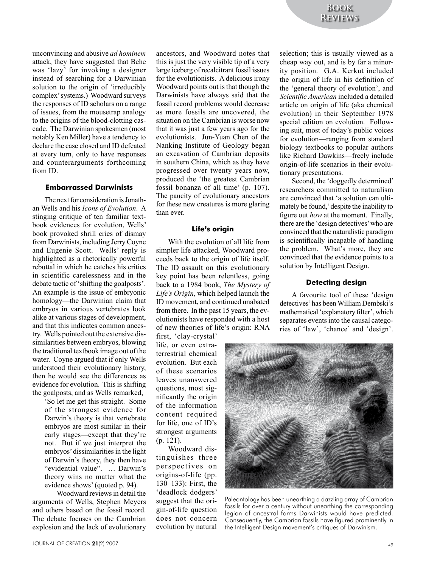unconvincing and abusive *ad hominem* attack, they have suggested that Behe was 'lazy' for invoking a designer instead of searching for a Darwinian solution to the origin of 'irreducibly complex' systems.) Woodward surveys the responses of ID scholars on a range of issues, from the mousetrap analogy to the origins of the blood-clotting cascade. The Darwinian spokesmen (most notably Ken Miller) have a tendency to declare the case closed and ID defeated at every turn, only to have responses and counterarguments forthcoming from ID.

#### **Embarrassed Darwinists**

The next for consideration is Jonathan Wells and his *Icons of Evolution*. A stinging critique of ten familiar textbook evidences for evolution, Wells' book provoked shrill cries of dismay from Darwinists, including Jerry Coyne and Eugenie Scott. Wells' reply is highlighted as a rhetorically powerful rebuttal in which he catches his critics in scientific carelessness and in the debate tactic of 'shifting the goalposts'. An example is the issue of embryonic homology—the Darwinian claim that embryos in various vertebrates look alike at various stages of development, and that this indicates common ancestry. Wells pointed out the extensive dissimilarities between embryos, blowing the traditional textbook image out of the water. Coyne argued that if only Wells understood their evolutionary history, then he would see the differences as evidence for evolution. This is shifting the goalposts, and as Wells remarked,

'So let me get this straight. Some of the strongest evidence for Darwin's theory is that vertebrate embryos are most similar in their early stages—except that they're not. But if we just interpret the embryos' dissimilarities in the light of Darwin's theory, they then have "evidential value". … Darwin's theory wins no matter what the evidence shows' (quoted p. 94).

Woodward reviews in detail the arguments of Wells, Stephen Meyers and others based on the fossil record. The debate focuses on the Cambrian explosion and the lack of evolutionary

ancestors, and Woodward notes that this is just the very visible tip of a very large iceberg of recalcitrant fossil issues for the evolutionists. A delicious irony Woodward points out is that though the Darwinists have always said that the fossil record problems would decrease as more fossils are uncovered, the situation on the Cambrian is worse now that it was just a few years ago for the evolutionists. Jun-Yuan Chen of the Nanking Institute of Geology began an excavation of Cambrian deposits in southern China, which as they have progressed over twenty years now, produced the 'the greatest Cambrian fossil bonanza of all time' (p. 107). The paucity of evolutionary ancestors for these new creatures is more glaring than ever.

#### **Life**'**s origin**

With the evolution of all life from simpler life attacked, Woodward proceeds back to the origin of life itself. The ID assault on this evolutionary key point has been relentless, going back to a 1984 book, *The Mystery of Life's Origin*, which helped launch the ID movement, and continued unabated from there. In the past 15 years, the evolutionists have responded with a host of new theories of life's origin: RNA

first, 'clay-crystal' life, or even extraterrestrial chemical evolution. But each of these scenarios leaves unanswered questions, most significantly the origin of the information content required for life, one of ID's strongest arguments (p. 121).

Woodward distinguishes three perspectives on origins-of-life (pp. 130–133): First, the 'deadlock dodgers' suggest that the origin-of-life question does not concern evolution by natural

selection; this is usually viewed as a cheap way out, and is by far a minority position. G.A. Kerkut included the origin of life in his definition of the 'general theory of evolution', and *Scientific American* included a detailed article on origin of life (aka chemical evolution) in their September 1978 special edition on evolution. Following suit, most of today's public voices for evolution—ranging from standard biology textbooks to popular authors like Richard Dawkins—freely include origin-of-life scenarios in their evolutionary presentations.

Second, the 'doggedly determined' researchers committed to naturalism are convinced that 'a solution can ultimately be found,' despite the inability to figure out *how* at the moment. Finally, there are the 'design detectives' who are convinced that the naturalistic paradigm is scientifically incapable of handling the problem. What's more, they are convinced that the evidence points to a solution by Intelligent Design.

#### **Detecting design**

A favourite tool of these 'design detectives' has been William Dembski's mathematical 'explanatory filter', which separates events into the causal categories of 'law', 'chance' and 'design'.



Paleontology has been unearthing a dazzling array of Cambrian fossils for over a century without unearthing the corresponding legion of ancestral forms Darwinists would have predicted. Consequently, the Cambrian fossils have figured prominently in the Intelligent Design movement's critiques of Darwinism.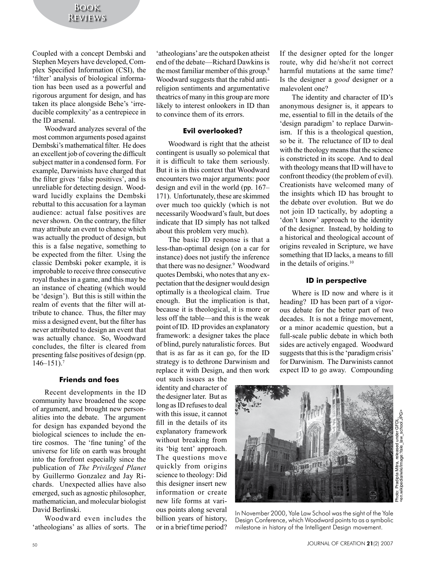Coupled with a concept Dembski and Stephen Meyers have developed, Complex Specified Information (CSI), the 'filter' analysis of biological information has been used as a powerful and rigorous argument for design, and has taken its place alongside Behe's 'irreducible complexity' as a centrepiece in the ID arsenal.

Woodward analyzes several of the most common arguments posed against Dembski's mathematical filter. He does an excellent job of covering the difficult subject matter in a condensed form. For example, Darwinists have charged that the filter gives 'false positives', and is unreliable for detecting design. Woodward lucidly explains the Dembski rebuttal to this accusation for a layman audience: actual false positives are never shown. On the contrary, the filter may attribute an event to chance which was actually the product of design, but this is a false negative, something to be expected from the filter. Using the classic Dembski poker example, it is improbable to receive three consecutive royal flushes in a game, and this may be an instance of cheating (which would be 'design'). But this is still within the realm of events that the filter will attribute to chance. Thus, the filter may miss a designed event, but the filter has never attributed to design an event that was actually chance. So, Woodward concludes, the filter is cleared from presenting false positives of design (pp.  $146 - 151$ .<sup>7</sup>

## **Friends and foes**

Recent developments in the ID community have broadened the scope of argument, and brought new personalities into the debate. The argument for design has expanded beyond the biological sciences to include the entire cosmos. The 'fine tuning' of the universe for life on earth was brought into the forefront especially since the publication of *The Privileged Planet* by Guillermo Gonzalez and Jay Richards. Unexpected allies have also emerged, such as agnostic philosopher, mathematician, and molecular biologist David Berlinski.

Woodward even includes the 'atheologians' as allies of sorts. The

'atheologians' are the outspoken atheist end of the debate—Richard Dawkins is the most familiar member of this group.<sup>8</sup> Woodward suggests that the rabid antireligion sentiments and argumentative theatrics of many in this group are more likely to interest onlookers in ID than to convince them of its errors.

#### **Evil overlooked?**

Woodward is right that the atheist contingent is usually so polemical that it is difficult to take them seriously. But it is in this context that Woodward encounters two major arguments: poor design and evil in the world (pp. 167– 171). Unfortunately, these are skimmed over much too quickly (which is not necessarily Woodward's fault, but does indicate that ID simply has not talked about this problem very much).

The basic ID response is that a less-than-optimal design (on a car for instance) does not justify the inference that there was no designer.<sup>9</sup> Woodward quotes Dembski, who notes that any expectation that the designer would design optimally is a theological claim. True enough. But the implication is that, because it is theological, it is more or less off the table—and this is the weak point of ID. ID provides an explanatory framework: a designer takes the place of blind, purely naturalistic forces. But that is as far as it can go, for the ID strategy is to dethrone Darwinism and replace it with Design, and then work

out such issues as the identity and character of the designer later. But as long as ID refuses to deal with this issue, it cannot fill in the details of its explanatory framework without breaking from its 'big tent' approach. The questions move quickly from origins science to theology: Did this designer insert new information or create new life forms at various points along several billion years of history, or in a brief time period?

If the designer opted for the longer route, why did he/she/it not correct harmful mutations at the same time? Is the designer a *good* designer or a malevolent one?

The identity and character of ID's anonymous designer is, it appears to me, essential to fill in the details of the 'design paradigm' to replace Darwinism. If this is a theological question, so be it. The reluctance of ID to deal with the theology means that the science is constricted in its scope. And to deal with theology means that ID will have to confront theodicy (the problem of evil). Creationists have welcomed many of the insights which ID has brought to the debate over evolution. But we do not join ID tactically, by adopting a 'don't know' approach to the identity of the designer. Instead, by holding to a historical and theological account of origins revealed in Scripture, we have something that ID lacks, a means to fill in the details of origins.10

#### **ID in perspective**

Where is ID now and where is it heading? ID has been part of a vigorous debate for the better part of two decades. It is not a fringe movement, or a minor academic question, but a full-scale public debate in which both sides are actively engaged. Woodward suggests that this is the 'paradigm crisis' for Darwinism. The Darwinists cannot expect ID to go away. Compounding



In November 2000, Yale Law School was the sight of the Yale Design Conference, which Woodward points to as a symbolic milestone in history of the Intelligent Design movement.